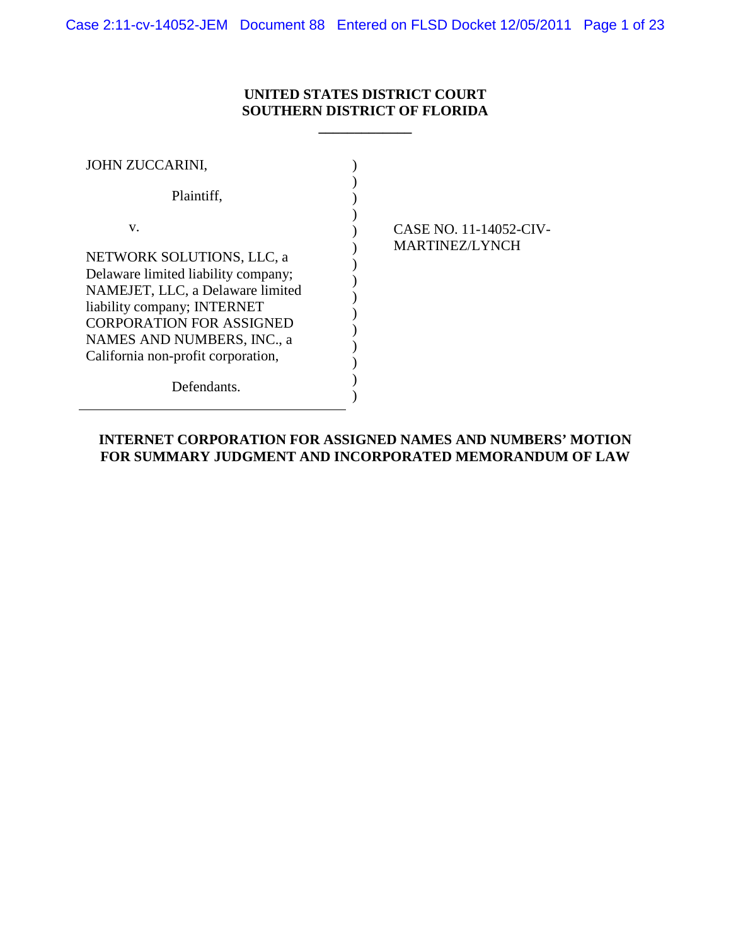Case 2:11-cv-14052-JEM Document 88 Entered on FLSD Docket 12/05/2011 Page 1 of 23

## **UNITED STATES DISTRICT COURT SOUTHERN DISTRICT OF FLORIDA**

**\_\_\_\_\_\_\_\_\_\_\_\_\_**

| JOHN ZUCCARINI,                                                                                                                                                                                                                                  |                                                 |
|--------------------------------------------------------------------------------------------------------------------------------------------------------------------------------------------------------------------------------------------------|-------------------------------------------------|
| Plaintiff,                                                                                                                                                                                                                                       |                                                 |
| V.<br>NETWORK SOLUTIONS, LLC, a<br>Delaware limited liability company;<br>NAMEJET, LLC, a Delaware limited<br>liability company; INTERNET<br><b>CORPORATION FOR ASSIGNED</b><br>NAMES AND NUMBERS, INC., a<br>California non-profit corporation, | CASE NO. 11-14052-CIV-<br><b>MARTINEZ/LYNCH</b> |
| Defendants.                                                                                                                                                                                                                                      |                                                 |

### **INTERNET CORPORATION FOR ASSIGNED NAMES AND NUMBERS' MOTION FOR SUMMARY JUDGMENT AND INCORPORATED MEMORANDUM OF LAW**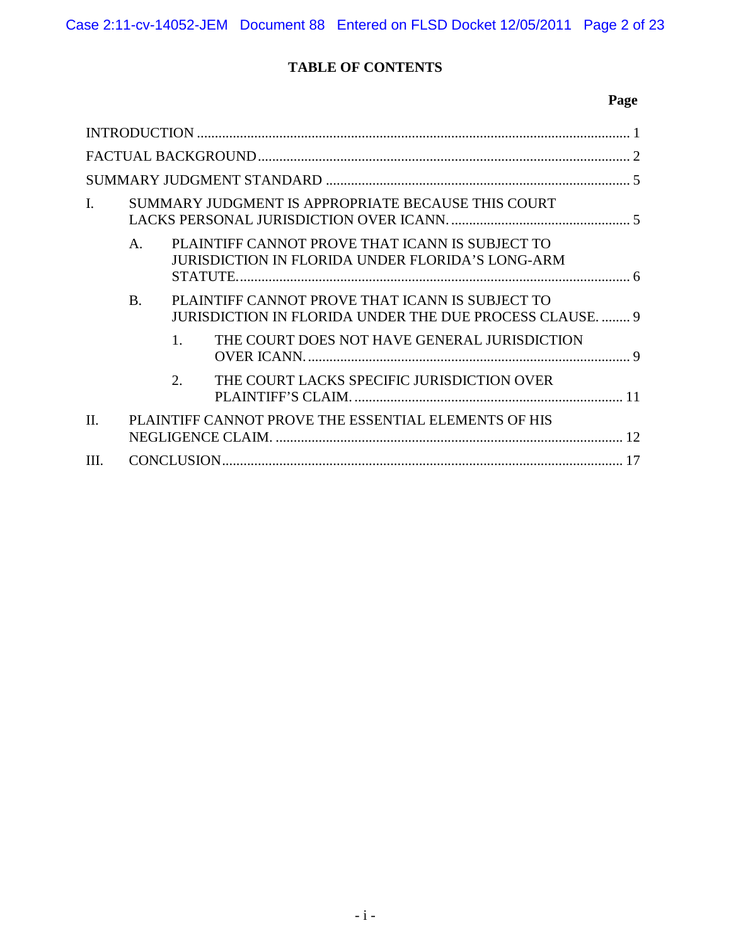# **TABLE OF CONTENTS**

| I.      |                |         | SUMMARY JUDGMENT IS APPROPRIATE BECAUSE THIS COURT                                                               |  |
|---------|----------------|---------|------------------------------------------------------------------------------------------------------------------|--|
|         | $\mathsf{A}$ . |         | PLAINTIFF CANNOT PROVE THAT ICANN IS SUBJECT TO<br>JURISDICTION IN FLORIDA UNDER FLORIDA'S LONG-ARM              |  |
|         | <b>B.</b>      |         | PLAINTIFF CANNOT PROVE THAT ICANN IS SUBJECT TO<br><b>JURISDICTION IN FLORIDA UNDER THE DUE PROCESS CLAUSE 9</b> |  |
|         |                | $1_{-}$ | THE COURT DOES NOT HAVE GENERAL JURISDICTION                                                                     |  |
|         |                | 2.      | THE COURT LACKS SPECIFIC JURISDICTION OVER                                                                       |  |
| $\Pi$ . |                |         | PLAINTIFF CANNOT PROVE THE ESSENTIAL ELEMENTS OF HIS                                                             |  |
| III.    |                |         |                                                                                                                  |  |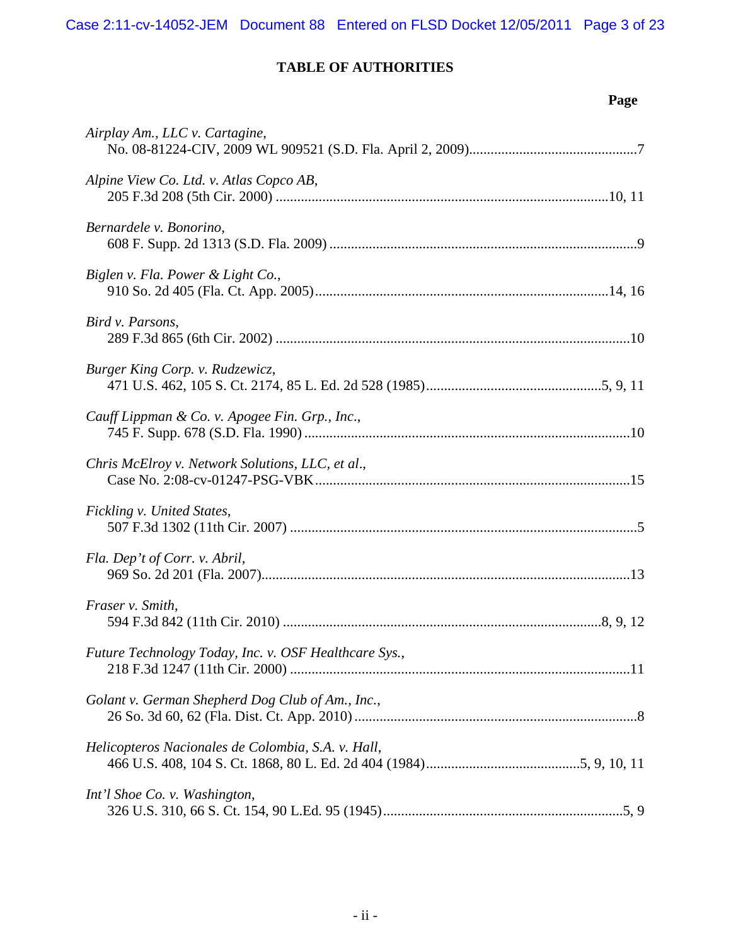Case 2:11-cv-14052-JEM Document 88 Entered on FLSD Docket 12/05/2011 Page 3 of 23

# **TABLE OF AUTHORITIES**

| Airplay Am., LLC v. Cartagine,                        |
|-------------------------------------------------------|
| Alpine View Co. Ltd. v. Atlas Copco AB,               |
| Bernardele v. Bonorino,                               |
| Biglen v. Fla. Power & Light Co.,                     |
| Bird v. Parsons,                                      |
| Burger King Corp. v. Rudzewicz,                       |
| Cauff Lippman & Co. v. Apogee Fin. Grp., Inc.,        |
| Chris McElroy v. Network Solutions, LLC, et al.,      |
| Fickling v. United States,                            |
| Fla. Dep't of Corr. v. Abril,                         |
| Fraser v. Smith,                                      |
| Future Technology Today, Inc. v. OSF Healthcare Sys., |
| Golant v. German Shepherd Dog Club of Am., Inc.,      |
| Helicopteros Nacionales de Colombia, S.A. v. Hall,    |
| Int'l Shoe Co. v. Washington,                         |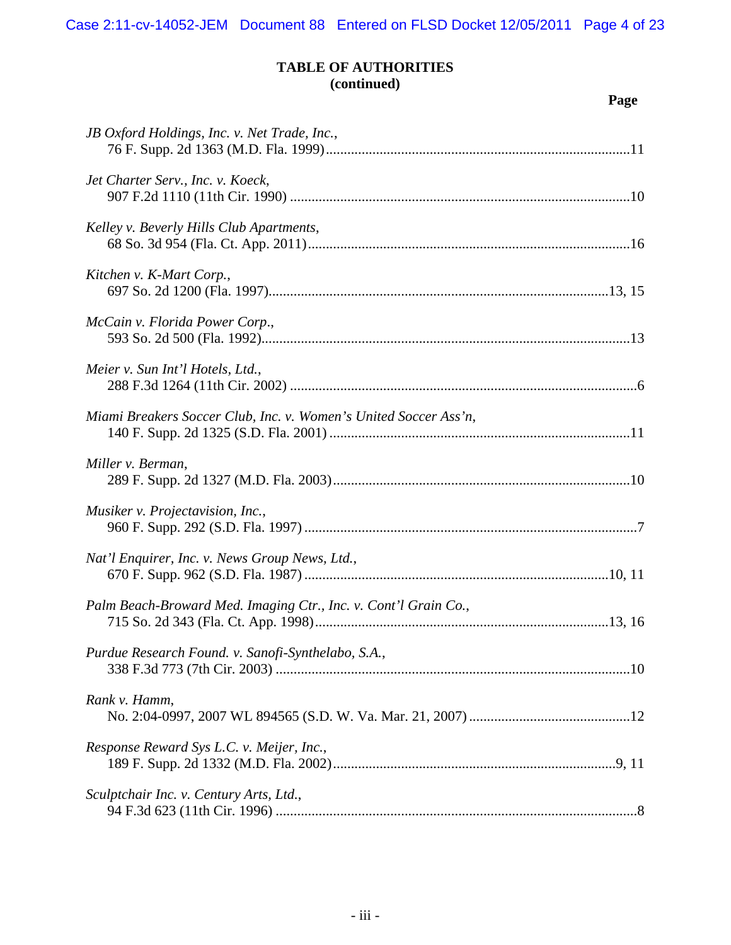Case 2:11-cv-14052-JEM Document 88 Entered on FLSD Docket 12/05/2011 Page 4 of 23

## **TABLE OF AUTHORITIES (continued)**

| JB Oxford Holdings, Inc. v. Net Trade, Inc.,                     |
|------------------------------------------------------------------|
| Jet Charter Serv., Inc. v. Koeck,                                |
| Kelley v. Beverly Hills Club Apartments,                         |
| Kitchen v. K-Mart Corp.,                                         |
| McCain v. Florida Power Corp.,                                   |
| Meier v. Sun Int'l Hotels, Ltd.,                                 |
| Miami Breakers Soccer Club, Inc. v. Women's United Soccer Ass'n, |
| Miller v. Berman,                                                |
| Musiker v. Projectavision, Inc.,                                 |
| Nat'l Enquirer, Inc. v. News Group News, Ltd.,                   |
| Palm Beach-Broward Med. Imaging Ctr., Inc. v. Cont'l Grain Co.,  |
| Purdue Research Found. v. Sanofi-Synthelabo, S.A.,               |
| Rank v. Hamm,                                                    |
| Response Reward Sys L.C. v. Meijer, Inc.,                        |
| Sculptchair Inc. v. Century Arts, Ltd.,                          |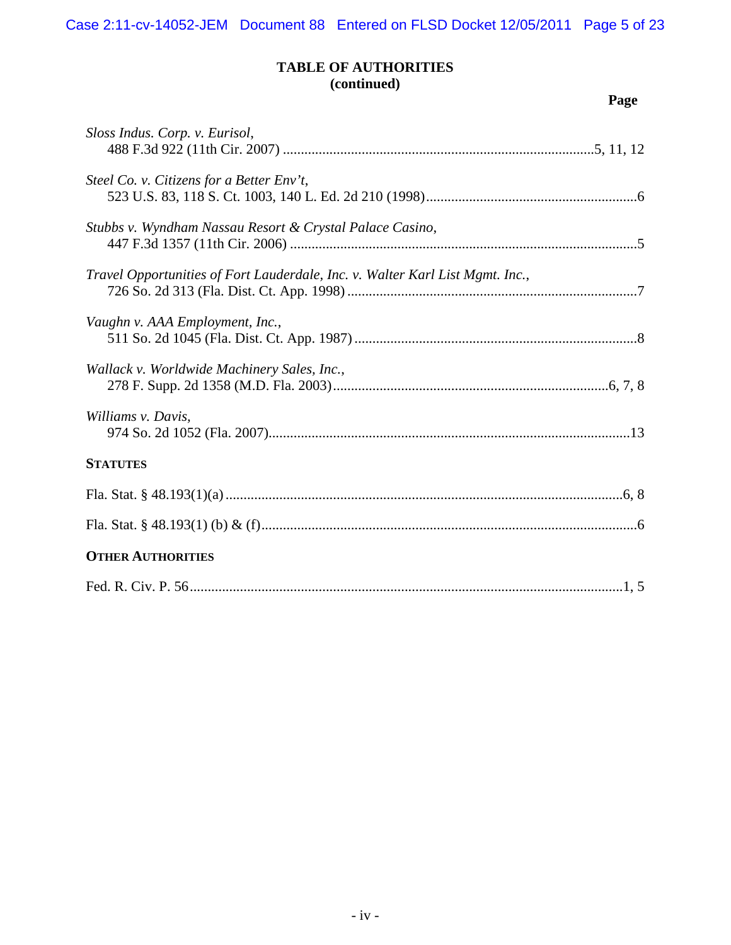Case 2:11-cv-14052-JEM Document 88 Entered on FLSD Docket 12/05/2011 Page 5 of 23

## **TABLE OF AUTHORITIES (continued)**

| Sloss Indus. Corp. v. Eurisol,                                                |
|-------------------------------------------------------------------------------|
| Steel Co. v. Citizens for a Better Env't,                                     |
| Stubbs v. Wyndham Nassau Resort & Crystal Palace Casino,                      |
| Travel Opportunities of Fort Lauderdale, Inc. v. Walter Karl List Mgmt. Inc., |
| Vaughn v. AAA Employment, Inc.,                                               |
| Wallack v. Worldwide Machinery Sales, Inc.,                                   |
| Williams v. Davis.                                                            |
| <b>STATUTES</b>                                                               |
|                                                                               |
|                                                                               |
| <b>OTHER AUTHORITIES</b>                                                      |
|                                                                               |
|                                                                               |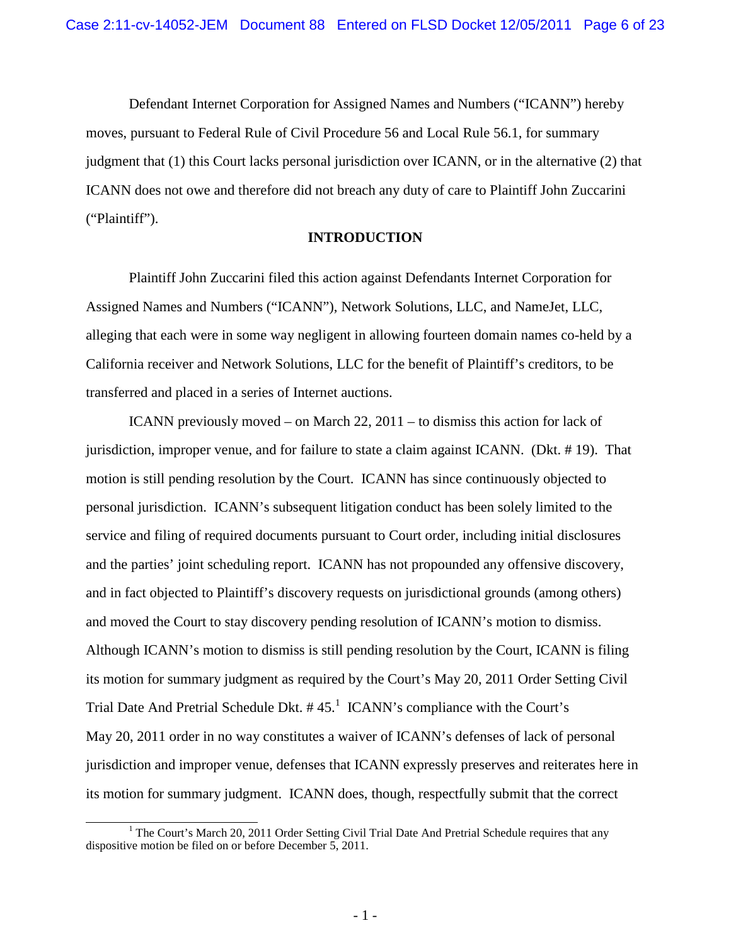Defendant Internet Corporation for Assigned Names and Numbers ("ICANN") hereby moves, pursuant to Federal Rule of Civil Procedure 56 and Local Rule 56.1, for summary judgment that (1) this Court lacks personal jurisdiction over ICANN, or in the alternative (2) that ICANN does not owe and therefore did not breach any duty of care to Plaintiff John Zuccarini ("Plaintiff").

#### **INTRODUCTION**

Plaintiff John Zuccarini filed this action against Defendants Internet Corporation for Assigned Names and Numbers ("ICANN"), Network Solutions, LLC, and NameJet, LLC, alleging that each were in some way negligent in allowing fourteen domain names co-held by a California receiver and Network Solutions, LLC for the benefit of Plaintiff's creditors, to be transferred and placed in a series of Internet auctions.

ICANN previously moved – on March 22, 2011 – to dismiss this action for lack of jurisdiction, improper venue, and for failure to state a claim against ICANN. (Dkt. # 19). That motion is still pending resolution by the Court. ICANN has since continuously objected to personal jurisdiction. ICANN's subsequent litigation conduct has been solely limited to the service and filing of required documents pursuant to Court order, including initial disclosures and the parties' joint scheduling report. ICANN has not propounded any offensive discovery, and in fact objected to Plaintiff's discovery requests on jurisdictional grounds (among others) and moved the Court to stay discovery pending resolution of ICANN's motion to dismiss. Although ICANN's motion to dismiss is still pending resolution by the Court, ICANN is filing its motion for summary judgment as required by the Court's May 20, 2011 Order Setting Civil Trial Date And Pretrial Schedule Dkt.  $#45<sup>1</sup>$  ICANN's compliance with the Court's May 20, 2011 order in no way constitutes a waiver of ICANN's defenses of lack of personal jurisdiction and improper venue, defenses that ICANN expressly preserves and reiterates here in its motion for summary judgment. ICANN does, though, respectfully submit that the correct

<sup>&</sup>lt;sup>1</sup> The Court's March 20, 2011 Order Setting Civil Trial Date And Pretrial Schedule requires that any dispositive motion be filed on or before December 5, 2011.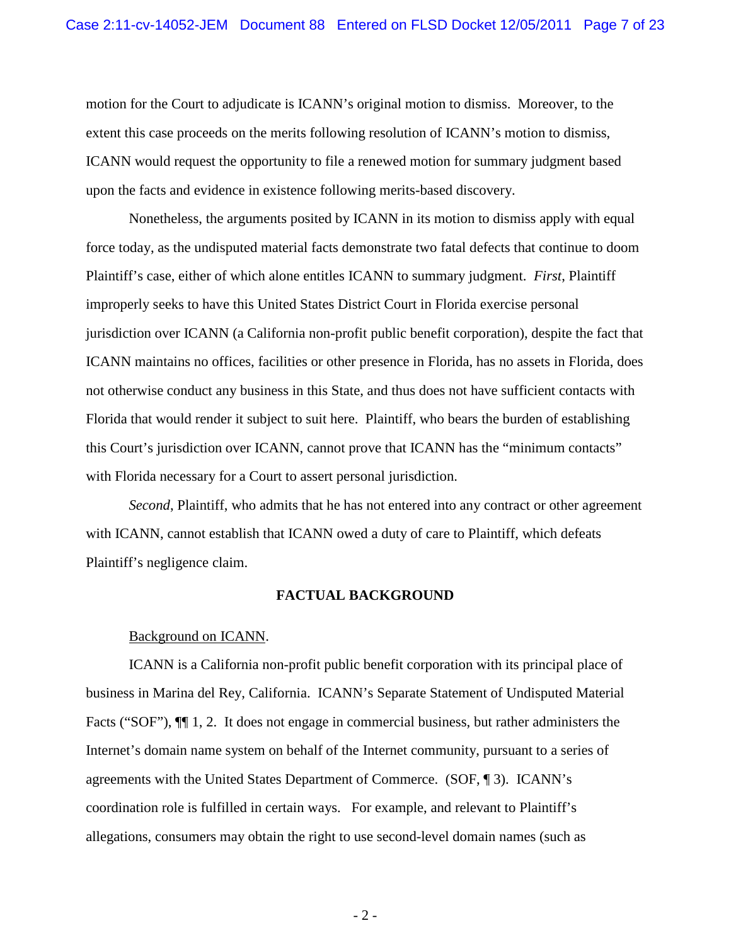motion for the Court to adjudicate is ICANN's original motion to dismiss. Moreover, to the extent this case proceeds on the merits following resolution of ICANN's motion to dismiss, ICANN would request the opportunity to file a renewed motion for summary judgment based upon the facts and evidence in existence following merits-based discovery.

Nonetheless, the arguments posited by ICANN in its motion to dismiss apply with equal force today, as the undisputed material facts demonstrate two fatal defects that continue to doom Plaintiff's case, either of which alone entitles ICANN to summary judgment. *First*, Plaintiff improperly seeks to have this United States District Court in Florida exercise personal jurisdiction over ICANN (a California non-profit public benefit corporation), despite the fact that ICANN maintains no offices, facilities or other presence in Florida, has no assets in Florida, does not otherwise conduct any business in this State, and thus does not have sufficient contacts with Florida that would render it subject to suit here. Plaintiff, who bears the burden of establishing this Court's jurisdiction over ICANN, cannot prove that ICANN has the "minimum contacts" with Florida necessary for a Court to assert personal jurisdiction.

*Second*, Plaintiff, who admits that he has not entered into any contract or other agreement with ICANN, cannot establish that ICANN owed a duty of care to Plaintiff, which defeats Plaintiff's negligence claim.

#### **FACTUAL BACKGROUND**

#### Background on ICANN.

ICANN is a California non-profit public benefit corporation with its principal place of business in Marina del Rey, California. ICANN's Separate Statement of Undisputed Material Facts ("SOF"),  $\P$ [1, 2. It does not engage in commercial business, but rather administers the Internet's domain name system on behalf of the Internet community, pursuant to a series of agreements with the United States Department of Commerce. (SOF, ¶ 3). ICANN's coordination role is fulfilled in certain ways. For example, and relevant to Plaintiff's allegations, consumers may obtain the right to use second-level domain names (such as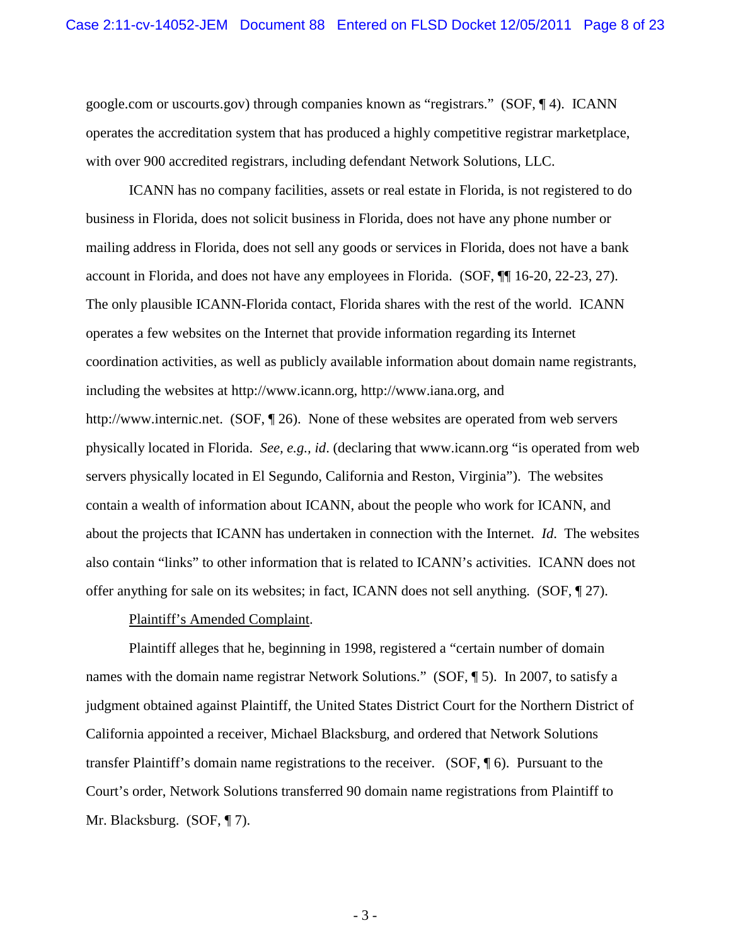google.com or uscourts.gov) through companies known as "registrars." (SOF, ¶ 4). ICANN operates the accreditation system that has produced a highly competitive registrar marketplace, with over 900 accredited registrars, including defendant Network Solutions, LLC.

ICANN has no company facilities, assets or real estate in Florida, is not registered to do business in Florida, does not solicit business in Florida, does not have any phone number or mailing address in Florida, does not sell any goods or services in Florida, does not have a bank account in Florida, and does not have any employees in Florida. (SOF, ¶¶ 16-20, 22-23, 27). The only plausible ICANN-Florida contact, Florida shares with the rest of the world. ICANN operates a few websites on the Internet that provide information regarding its Internet coordination activities, as well as publicly available information about domain name registrants, including the websites at http://www.icann.org, http://www.iana.org, and http://www.internic.net. (SOF, 126). None of these websites are operated from web servers physically located in Florida. *See, e.g., id*. (declaring that www.icann.org "is operated from web servers physically located in El Segundo, California and Reston, Virginia"). The websites contain a wealth of information about ICANN, about the people who work for ICANN, and about the projects that ICANN has undertaken in connection with the Internet. *Id*. The websites also contain "links" to other information that is related to ICANN's activities. ICANN does not offer anything for sale on its websites; in fact, ICANN does not sell anything. (SOF, ¶ 27).

#### Plaintiff's Amended Complaint.

Plaintiff alleges that he, beginning in 1998, registered a "certain number of domain names with the domain name registrar Network Solutions." (SOF, ¶ 5). In 2007, to satisfy a judgment obtained against Plaintiff, the United States District Court for the Northern District of California appointed a receiver, Michael Blacksburg, and ordered that Network Solutions transfer Plaintiff's domain name registrations to the receiver. (SOF, ¶ 6). Pursuant to the Court's order, Network Solutions transferred 90 domain name registrations from Plaintiff to Mr. Blacksburg. (SOF, ¶ 7).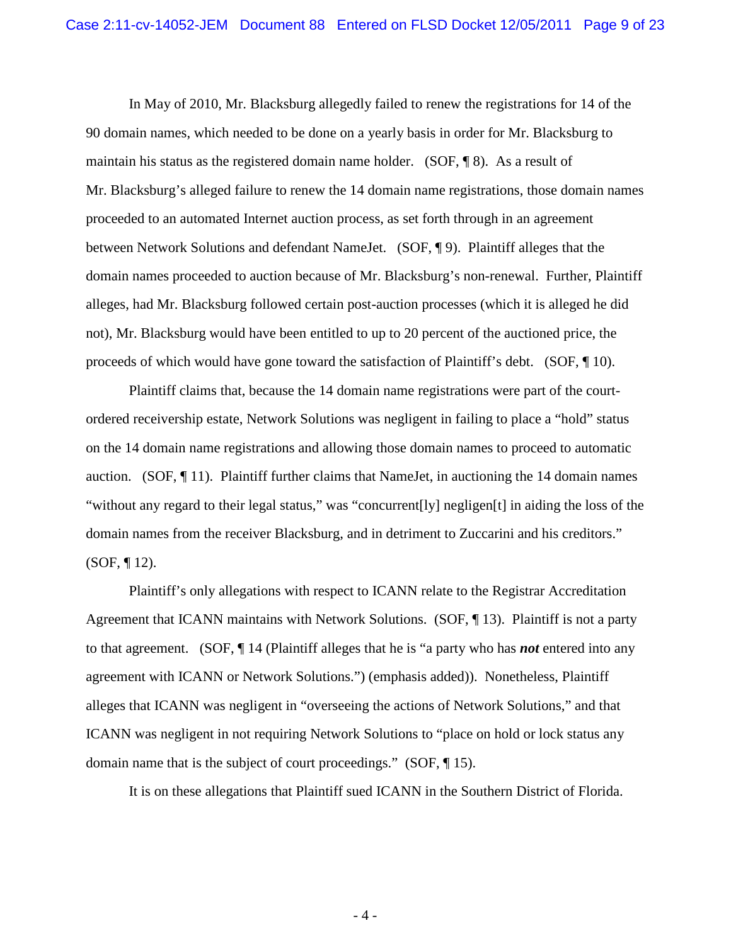In May of 2010, Mr. Blacksburg allegedly failed to renew the registrations for 14 of the 90 domain names, which needed to be done on a yearly basis in order for Mr. Blacksburg to maintain his status as the registered domain name holder. (SOF, ¶ 8). As a result of Mr. Blacksburg's alleged failure to renew the 14 domain name registrations, those domain names proceeded to an automated Internet auction process, as set forth through in an agreement between Network Solutions and defendant NameJet. (SOF, ¶ 9). Plaintiff alleges that the domain names proceeded to auction because of Mr. Blacksburg's non-renewal. Further, Plaintiff alleges, had Mr. Blacksburg followed certain post-auction processes (which it is alleged he did not), Mr. Blacksburg would have been entitled to up to 20 percent of the auctioned price, the proceeds of which would have gone toward the satisfaction of Plaintiff's debt. (SOF, ¶ 10).

Plaintiff claims that, because the 14 domain name registrations were part of the courtordered receivership estate, Network Solutions was negligent in failing to place a "hold" status on the 14 domain name registrations and allowing those domain names to proceed to automatic auction. (SOF, ¶ 11). Plaintiff further claims that NameJet, in auctioning the 14 domain names "without any regard to their legal status," was "concurrent[ly] negligen[t] in aiding the loss of the domain names from the receiver Blacksburg, and in detriment to Zuccarini and his creditors."  $(SOF, \P 12)$ .

Plaintiff's only allegations with respect to ICANN relate to the Registrar Accreditation Agreement that ICANN maintains with Network Solutions. (SOF, 13). Plaintiff is not a party to that agreement. (SOF, ¶ 14 (Plaintiff alleges that he is "a party who has *not* entered into any agreement with ICANN or Network Solutions.") (emphasis added)). Nonetheless, Plaintiff alleges that ICANN was negligent in "overseeing the actions of Network Solutions," and that ICANN was negligent in not requiring Network Solutions to "place on hold or lock status any domain name that is the subject of court proceedings." (SOF, ¶ 15).

It is on these allegations that Plaintiff sued ICANN in the Southern District of Florida.

- 4 -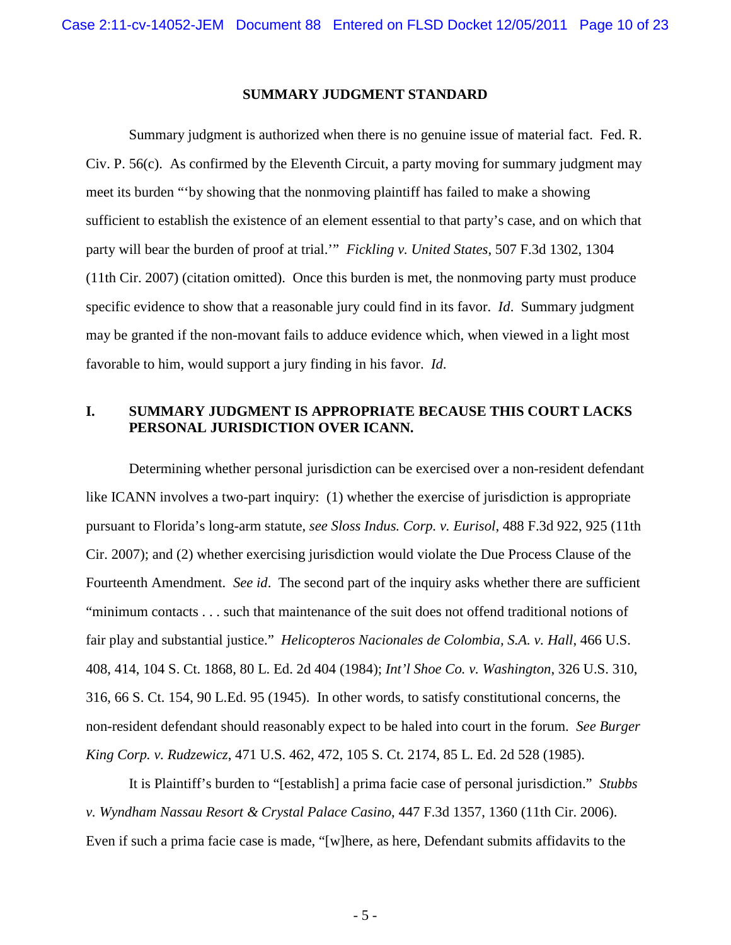#### **SUMMARY JUDGMENT STANDARD**

Summary judgment is authorized when there is no genuine issue of material fact. Fed. R. Civ. P. 56(c). As confirmed by the Eleventh Circuit, a party moving for summary judgment may meet its burden "'by showing that the nonmoving plaintiff has failed to make a showing sufficient to establish the existence of an element essential to that party's case, and on which that party will bear the burden of proof at trial.'" *Fickling v. United States*, 507 F.3d 1302, 1304 (11th Cir. 2007) (citation omitted). Once this burden is met, the nonmoving party must produce specific evidence to show that a reasonable jury could find in its favor. *Id.* Summary judgment may be granted if the non-movant fails to adduce evidence which, when viewed in a light most favorable to him, would support a jury finding in his favor. *Id*.

### **I. SUMMARY JUDGMENT IS APPROPRIATE BECAUSE THIS COURT LACKS PERSONAL JURISDICTION OVER ICANN.**

Determining whether personal jurisdiction can be exercised over a non-resident defendant like ICANN involves a two-part inquiry: (1) whether the exercise of jurisdiction is appropriate pursuant to Florida's long-arm statute, *see Sloss Indus. Corp. v. Eurisol*, 488 F.3d 922, 925 (11th Cir. 2007); and (2) whether exercising jurisdiction would violate the Due Process Clause of the Fourteenth Amendment. *See id*. The second part of the inquiry asks whether there are sufficient "minimum contacts . . . such that maintenance of the suit does not offend traditional notions of fair play and substantial justice." *Helicopteros Nacionales de Colombia, S.A. v. Hall*, 466 U.S. 408, 414, 104 S. Ct. 1868, 80 L. Ed. 2d 404 (1984); *Int'l Shoe Co. v. Washington*, 326 U.S. 310, 316, 66 S. Ct. 154, 90 L.Ed. 95 (1945). In other words, to satisfy constitutional concerns, the non-resident defendant should reasonably expect to be haled into court in the forum. *See Burger King Corp. v. Rudzewicz*, 471 U.S. 462, 472, 105 S. Ct. 2174, 85 L. Ed. 2d 528 (1985).

It is Plaintiff's burden to "[establish] a prima facie case of personal jurisdiction." *Stubbs v. Wyndham Nassau Resort & Crystal Palace Casino*, 447 F.3d 1357, 1360 (11th Cir. 2006). Even if such a prima facie case is made, "[w]here, as here, Defendant submits affidavits to the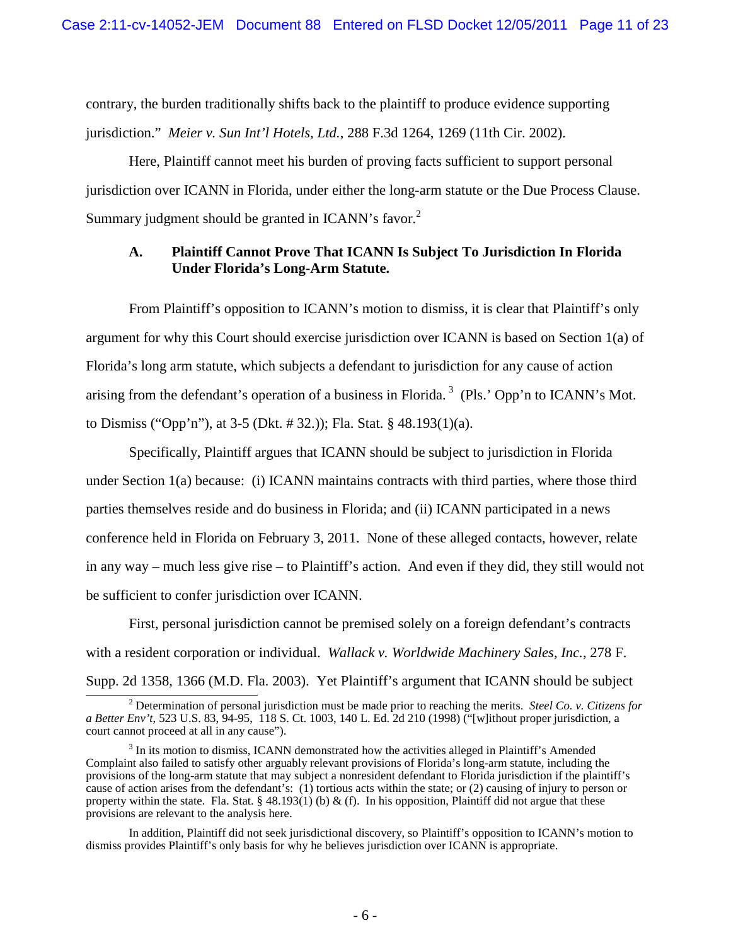contrary, the burden traditionally shifts back to the plaintiff to produce evidence supporting jurisdiction." *Meier v. Sun Int'l Hotels, Ltd.*, 288 F.3d 1264, 1269 (11th Cir. 2002).

Here, Plaintiff cannot meet his burden of proving facts sufficient to support personal jurisdiction over ICANN in Florida, under either the long-arm statute or the Due Process Clause. Summary judgment should be granted in ICANN's favor.<sup>2</sup>

### **A. Plaintiff Cannot Prove That ICANN Is Subject To Jurisdiction In Florida Under Florida's Long-Arm Statute.**

From Plaintiff's opposition to ICANN's motion to dismiss, it is clear that Plaintiff's only argument for why this Court should exercise jurisdiction over ICANN is based on Section 1(a) of Florida's long arm statute, which subjects a defendant to jurisdiction for any cause of action arising from the defendant's operation of a business in Florida.<sup>3</sup> (Pls.' Opp'n to ICANN's Mot. to Dismiss ("Opp'n"), at 3-5 (Dkt. # 32.)); Fla. Stat. § 48.193(1)(a).

Specifically, Plaintiff argues that ICANN should be subject to jurisdiction in Florida under Section 1(a) because: (i) ICANN maintains contracts with third parties, where those third parties themselves reside and do business in Florida; and (ii) ICANN participated in a news conference held in Florida on February 3, 2011. None of these alleged contacts, however, relate in any way – much less give rise – to Plaintiff's action. And even if they did, they still would not be sufficient to confer jurisdiction over ICANN.

First, personal jurisdiction cannot be premised solely on a foreign defendant's contracts with a resident corporation or individual. *Wallack v. Worldwide Machinery Sales, Inc.*, 278 F. Supp. 2d 1358, 1366 (M.D. Fla. 2003). Yet Plaintiff's argument that ICANN should be subject

In addition, Plaintiff did not seek jurisdictional discovery, so Plaintiff's opposition to ICANN's motion to dismiss provides Plaintiff's only basis for why he believes jurisdiction over ICANN is appropriate.

<sup>2</sup> Determination of personal jurisdiction must be made prior to reaching the merits. *Steel Co. v. Citizens for a Better Env't*, 523 U.S. 83, 94-95, 118 S. Ct. 1003, 140 L. Ed. 2d 210 (1998) ("[w]ithout proper jurisdiction, a court cannot proceed at all in any cause").

 $3$  In its motion to dismiss, ICANN demonstrated how the activities alleged in Plaintiff's Amended Complaint also failed to satisfy other arguably relevant provisions of Florida's long-arm statute, including the provisions of the long-arm statute that may subject a nonresident defendant to Florida jurisdiction if the plaintiff's cause of action arises from the defendant's: (1) tortious acts within the state; or (2) causing of injury to person or property within the state. Fla. Stat. § 48.193(1) (b) & (f). In his opposition, Plaintiff did not argue that these provisions are relevant to the analysis here.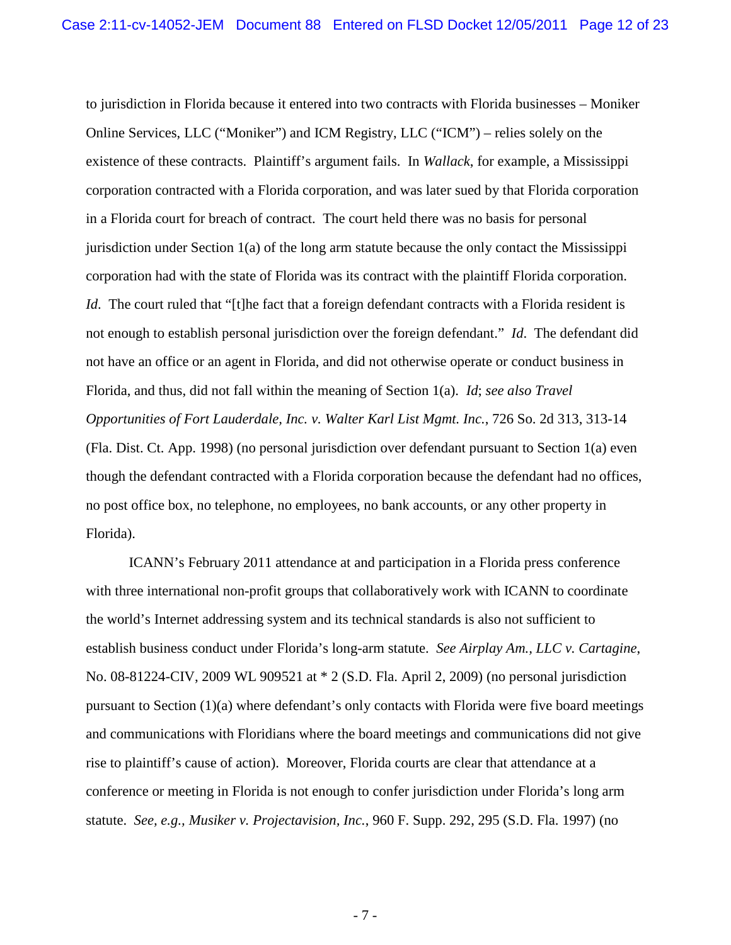to jurisdiction in Florida because it entered into two contracts with Florida businesses – Moniker Online Services, LLC ("Moniker") and ICM Registry, LLC ("ICM") – relies solely on the existence of these contracts. Plaintiff's argument fails. In *Wallack*, for example, a Mississippi corporation contracted with a Florida corporation, and was later sued by that Florida corporation in a Florida court for breach of contract. The court held there was no basis for personal jurisdiction under Section 1(a) of the long arm statute because the only contact the Mississippi corporation had with the state of Florida was its contract with the plaintiff Florida corporation. *Id*. The court ruled that "[t]he fact that a foreign defendant contracts with a Florida resident is not enough to establish personal jurisdiction over the foreign defendant." *Id*. The defendant did not have an office or an agent in Florida, and did not otherwise operate or conduct business in Florida, and thus, did not fall within the meaning of Section 1(a). *Id*; *see also Travel Opportunities of Fort Lauderdale, Inc. v. Walter Karl List Mgmt. Inc.*, 726 So. 2d 313, 313-14 (Fla. Dist. Ct. App. 1998) (no personal jurisdiction over defendant pursuant to Section 1(a) even though the defendant contracted with a Florida corporation because the defendant had no offices, no post office box, no telephone, no employees, no bank accounts, or any other property in Florida).

ICANN's February 2011 attendance at and participation in a Florida press conference with three international non-profit groups that collaboratively work with ICANN to coordinate the world's Internet addressing system and its technical standards is also not sufficient to establish business conduct under Florida's long-arm statute. *See Airplay Am., LLC v. Cartagine*, No. 08-81224-CIV, 2009 WL 909521 at \* 2 (S.D. Fla. April 2, 2009) (no personal jurisdiction pursuant to Section (1)(a) where defendant's only contacts with Florida were five board meetings and communications with Floridians where the board meetings and communications did not give rise to plaintiff's cause of action). Moreover, Florida courts are clear that attendance at a conference or meeting in Florida is not enough to confer jurisdiction under Florida's long arm statute. *See, e.g., Musiker v. Projectavision, Inc.*, 960 F. Supp. 292, 295 (S.D. Fla. 1997) (no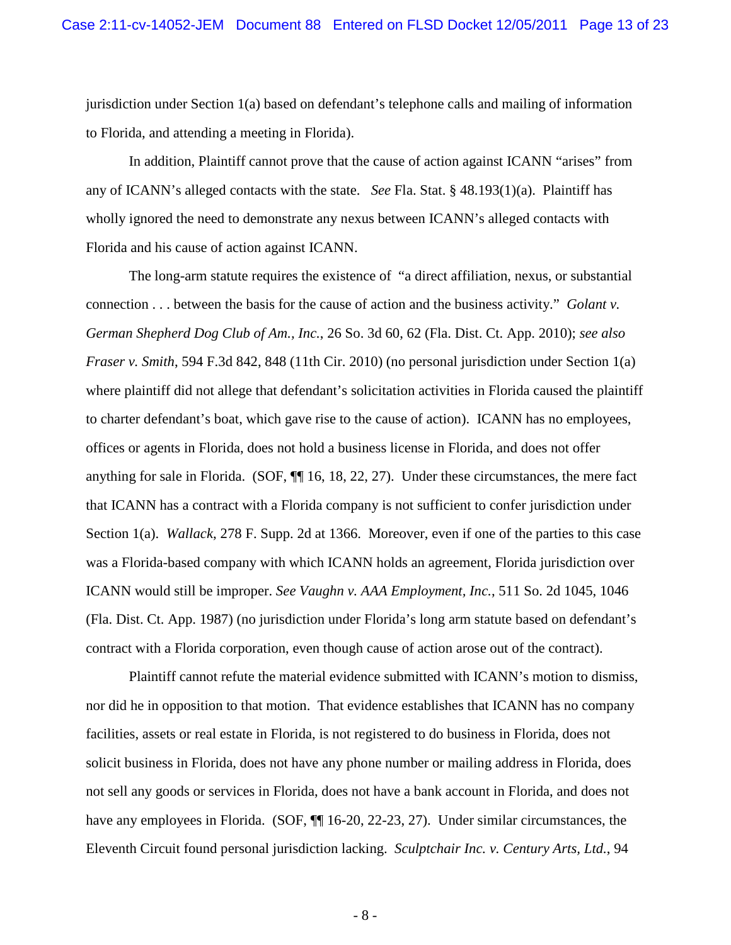jurisdiction under Section 1(a) based on defendant's telephone calls and mailing of information to Florida, and attending a meeting in Florida).

In addition, Plaintiff cannot prove that the cause of action against ICANN "arises" from any of ICANN's alleged contacts with the state. *See* Fla. Stat. § 48.193(1)(a). Plaintiff has wholly ignored the need to demonstrate any nexus between ICANN's alleged contacts with Florida and his cause of action against ICANN.

The long-arm statute requires the existence of "a direct affiliation, nexus, or substantial connection . . . between the basis for the cause of action and the business activity." *Golant v. German Shepherd Dog Club of Am., Inc.*, 26 So. 3d 60, 62 (Fla. Dist. Ct. App. 2010); *see also Fraser v. Smith*, 594 F.3d 842, 848 (11th Cir. 2010) (no personal jurisdiction under Section 1(a) where plaintiff did not allege that defendant's solicitation activities in Florida caused the plaintiff to charter defendant's boat, which gave rise to the cause of action). ICANN has no employees, offices or agents in Florida, does not hold a business license in Florida, and does not offer anything for sale in Florida. (SOF, ¶¶ 16, 18, 22, 27). Under these circumstances, the mere fact that ICANN has a contract with a Florida company is not sufficient to confer jurisdiction under Section 1(a). *Wallack*, 278 F. Supp. 2d at 1366. Moreover, even if one of the parties to this case was a Florida-based company with which ICANN holds an agreement, Florida jurisdiction over ICANN would still be improper. *See Vaughn v. AAA Employment, Inc.*, 511 So. 2d 1045, 1046 (Fla. Dist. Ct. App. 1987) (no jurisdiction under Florida's long arm statute based on defendant's contract with a Florida corporation, even though cause of action arose out of the contract).

Plaintiff cannot refute the material evidence submitted with ICANN's motion to dismiss, nor did he in opposition to that motion. That evidence establishes that ICANN has no company facilities, assets or real estate in Florida, is not registered to do business in Florida, does not solicit business in Florida, does not have any phone number or mailing address in Florida, does not sell any goods or services in Florida, does not have a bank account in Florida, and does not have any employees in Florida. (SOF,  $\P$  16-20, 22-23, 27). Under similar circumstances, the Eleventh Circuit found personal jurisdiction lacking. *Sculptchair Inc. v. Century Arts, Ltd.*, 94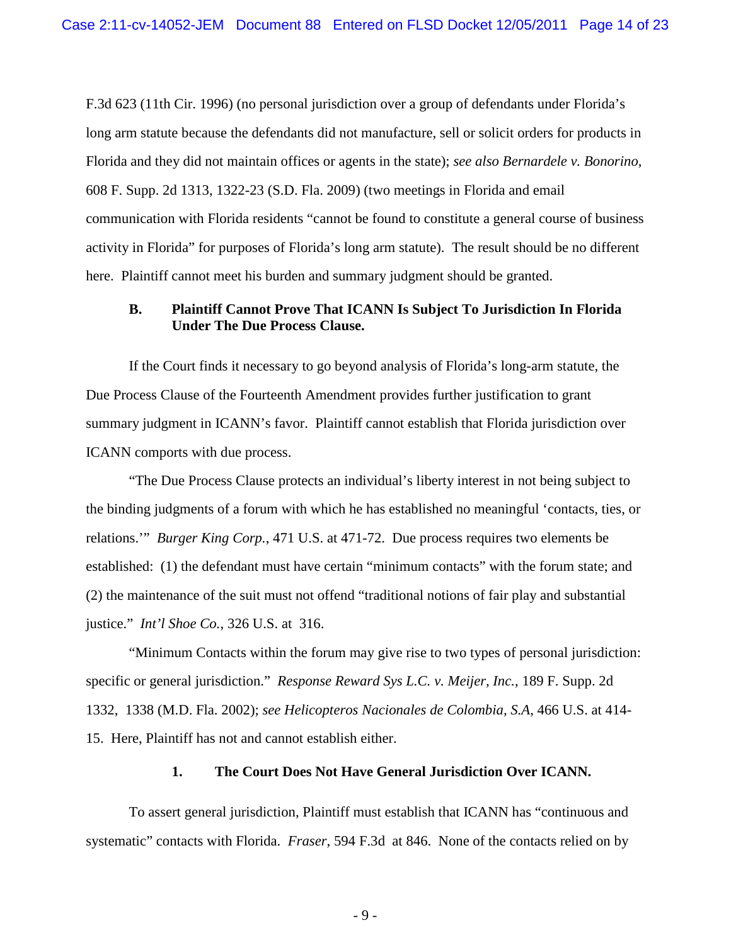F.3d 623 (11th Cir. 1996) (no personal jurisdiction over a group of defendants under Florida's long arm statute because the defendants did not manufacture, sell or solicit orders for products in Florida and they did not maintain offices or agents in the state); *see also Bernardele v. Bonorino*, 608 F. Supp. 2d 1313, 1322-23 (S.D. Fla. 2009) (two meetings in Florida and email communication with Florida residents "cannot be found to constitute a general course of business activity in Florida" for purposes of Florida's long arm statute). The result should be no different here. Plaintiff cannot meet his burden and summary judgment should be granted.

### **B. Plaintiff Cannot Prove That ICANN Is Subject To Jurisdiction In Florida Under The Due Process Clause.**

If the Court finds it necessary to go beyond analysis of Florida's long-arm statute, the Due Process Clause of the Fourteenth Amendment provides further justification to grant summary judgment in ICANN's favor. Plaintiff cannot establish that Florida jurisdiction over ICANN comports with due process.

"The Due Process Clause protects an individual's liberty interest in not being subject to the binding judgments of a forum with which he has established no meaningful 'contacts, ties, or relations.'" *Burger King Corp.*, 471 U.S. at 471-72. Due process requires two elements be established: (1) the defendant must have certain "minimum contacts" with the forum state; and (2) the maintenance of the suit must not offend "traditional notions of fair play and substantial justice." *Int'l Shoe Co.*, 326 U.S. at 316.

"Minimum Contacts within the forum may give rise to two types of personal jurisdiction: specific or general jurisdiction." *Response Reward Sys L.C. v. Meijer, Inc.*, 189 F. Supp. 2d 1332, 1338 (M.D. Fla. 2002); *see Helicopteros Nacionales de Colombia, S.A*, 466 U.S. at 414- 15. Here, Plaintiff has not and cannot establish either.

#### **1. The Court Does Not Have General Jurisdiction Over ICANN.**

To assert general jurisdiction, Plaintiff must establish that ICANN has "continuous and systematic" contacts with Florida. *Fraser*, 594 F.3d at 846. None of the contacts relied on by

- 9 -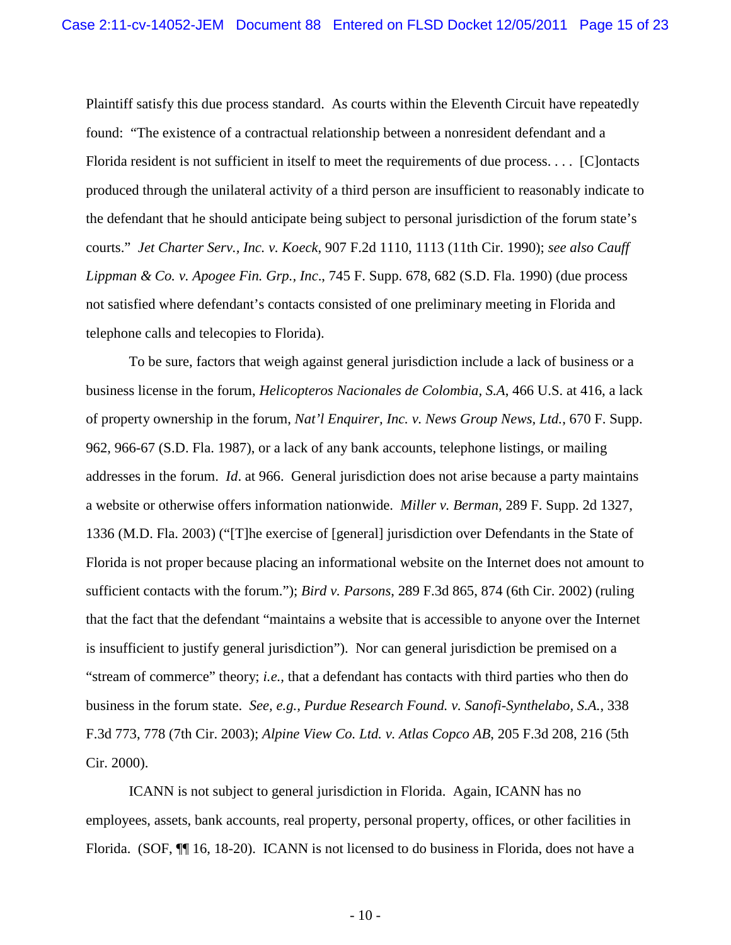Plaintiff satisfy this due process standard. As courts within the Eleventh Circuit have repeatedly found: "The existence of a contractual relationship between a nonresident defendant and a Florida resident is not sufficient in itself to meet the requirements of due process. . . . [C]ontacts produced through the unilateral activity of a third person are insufficient to reasonably indicate to the defendant that he should anticipate being subject to personal jurisdiction of the forum state's courts." *Jet Charter Serv., Inc. v. Koeck*, 907 F.2d 1110, 1113 (11th Cir. 1990); *see also Cauff Lippman & Co. v. Apogee Fin. Grp., Inc*., 745 F. Supp. 678, 682 (S.D. Fla. 1990) (due process not satisfied where defendant's contacts consisted of one preliminary meeting in Florida and telephone calls and telecopies to Florida).

To be sure, factors that weigh against general jurisdiction include a lack of business or a business license in the forum, *Helicopteros Nacionales de Colombia, S.A*, 466 U.S. at 416, a lack of property ownership in the forum, *Nat'l Enquirer, Inc. v. News Group News, Ltd.*, 670 F. Supp. 962, 966-67 (S.D. Fla. 1987), or a lack of any bank accounts, telephone listings, or mailing addresses in the forum. *Id*. at 966. General jurisdiction does not arise because a party maintains a website or otherwise offers information nationwide. *Miller v. Berman*, 289 F. Supp. 2d 1327, 1336 (M.D. Fla. 2003) ("[T]he exercise of [general] jurisdiction over Defendants in the State of Florida is not proper because placing an informational website on the Internet does not amount to sufficient contacts with the forum."); *Bird v. Parsons*, 289 F.3d 865, 874 (6th Cir. 2002) (ruling that the fact that the defendant "maintains a website that is accessible to anyone over the Internet is insufficient to justify general jurisdiction"). Nor can general jurisdiction be premised on a "stream of commerce" theory; *i.e.,* that a defendant has contacts with third parties who then do business in the forum state. *See, e.g., Purdue Research Found. v. Sanofi-Synthelabo, S.A.*, 338 F.3d 773, 778 (7th Cir. 2003); *Alpine View Co. Ltd. v. Atlas Copco AB*, 205 F.3d 208, 216 (5th Cir. 2000).

ICANN is not subject to general jurisdiction in Florida. Again, ICANN has no employees, assets, bank accounts, real property, personal property, offices, or other facilities in Florida. (SOF, ¶¶ 16, 18-20). ICANN is not licensed to do business in Florida, does not have a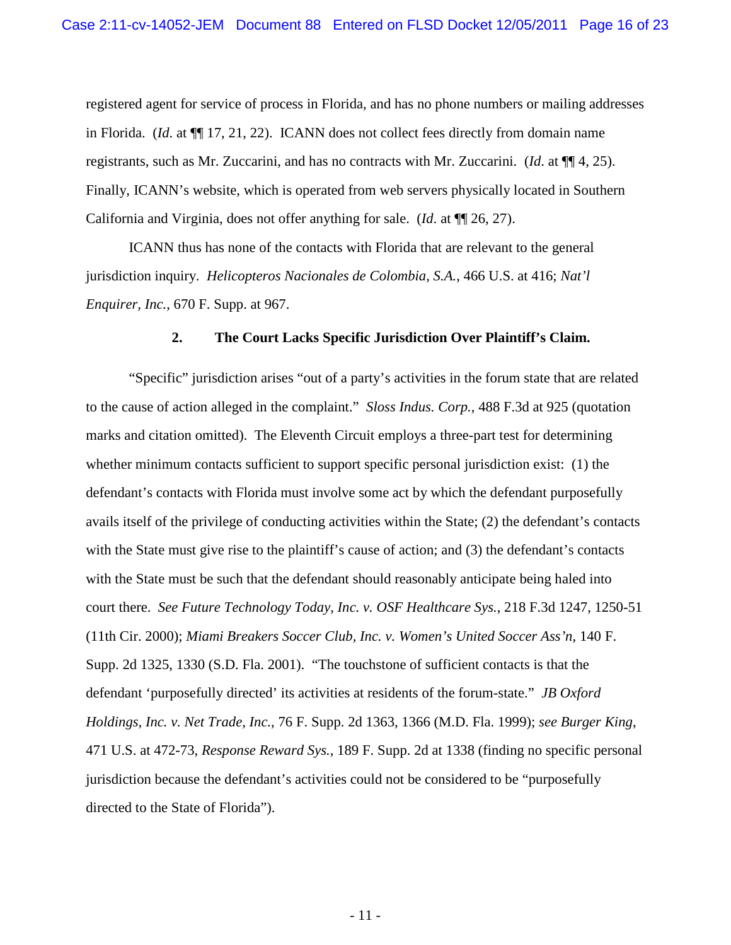registered agent for service of process in Florida, and has no phone numbers or mailing addresses in Florida. (*Id*. at ¶¶ 17, 21, 22). ICANN does not collect fees directly from domain name registrants, such as Mr. Zuccarini, and has no contracts with Mr. Zuccarini. (*Id*. at ¶¶ 4, 25). Finally, ICANN's website, which is operated from web servers physically located in Southern California and Virginia, does not offer anything for sale. (*Id*. at ¶¶ 26, 27).

ICANN thus has none of the contacts with Florida that are relevant to the general jurisdiction inquiry. *Helicopteros Nacionales de Colombia, S.A.*, 466 U.S. at 416; *Nat'l Enquirer, Inc.*, 670 F. Supp. at 967.

#### **2. The Court Lacks Specific Jurisdiction Over Plaintiff's Claim.**

"Specific" jurisdiction arises "out of a party's activities in the forum state that are related to the cause of action alleged in the complaint." *Sloss Indus. Corp.*, 488 F.3d at 925 (quotation marks and citation omitted). The Eleventh Circuit employs a three-part test for determining whether minimum contacts sufficient to support specific personal jurisdiction exist: (1) the defendant's contacts with Florida must involve some act by which the defendant purposefully avails itself of the privilege of conducting activities within the State; (2) the defendant's contacts with the State must give rise to the plaintiff's cause of action; and (3) the defendant's contacts with the State must be such that the defendant should reasonably anticipate being haled into court there. *See Future Technology Today, Inc. v. OSF Healthcare Sys.*, 218 F.3d 1247, 1250-51 (11th Cir. 2000); *Miami Breakers Soccer Club, Inc. v. Women's United Soccer Ass'n*, 140 F. Supp. 2d 1325, 1330 (S.D. Fla. 2001). "The touchstone of sufficient contacts is that the defendant 'purposefully directed' its activities at residents of the forum-state." *JB Oxford Holdings, Inc. v. Net Trade, Inc.*, 76 F. Supp. 2d 1363, 1366 (M.D. Fla. 1999); *see Burger King*, 471 U.S. at 472-73, *Response Reward Sys.*, 189 F. Supp. 2d at 1338 (finding no specific personal jurisdiction because the defendant's activities could not be considered to be "purposefully directed to the State of Florida").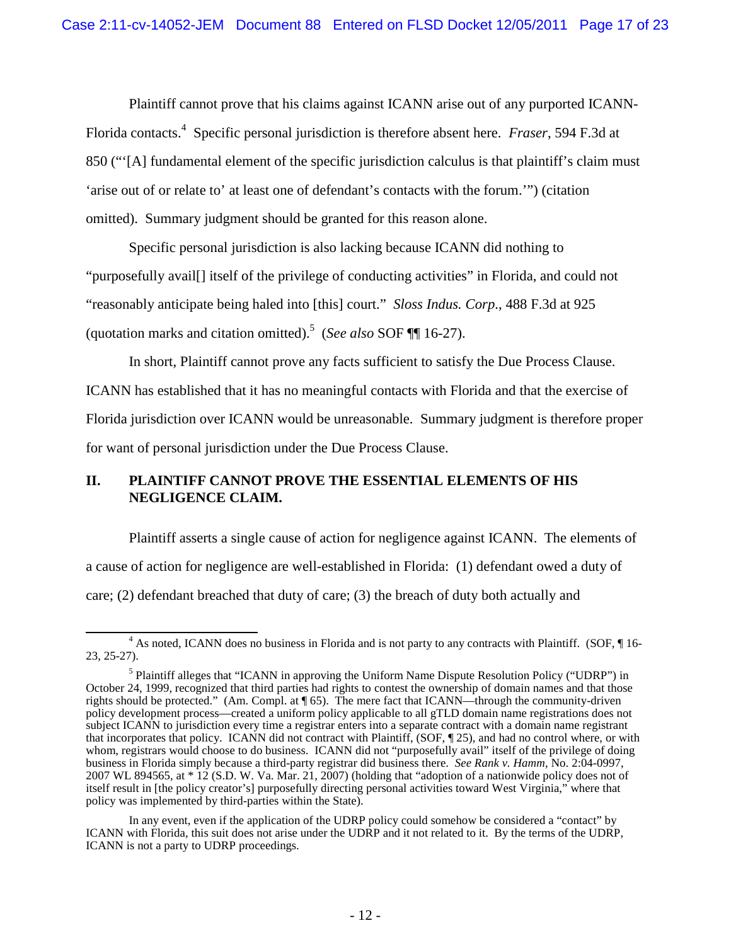Plaintiff cannot prove that his claims against ICANN arise out of any purported ICANN-Florida contacts.<sup>4</sup> Specific personal jurisdiction is therefore absent here. *Fraser*, 594 F.3d at 850 ("'[A] fundamental element of the specific jurisdiction calculus is that plaintiff's claim must 'arise out of or relate to' at least one of defendant's contacts with the forum.'") (citation omitted). Summary judgment should be granted for this reason alone.

Specific personal jurisdiction is also lacking because ICANN did nothing to "purposefully avail[] itself of the privilege of conducting activities" in Florida, and could not "reasonably anticipate being haled into [this] court." *Sloss Indus. Corp*., 488 F.3d at 925 (quotation marks and citation omitted).<sup>5</sup> (*See also* SOF ¶¶ 16-27).

In short, Plaintiff cannot prove any facts sufficient to satisfy the Due Process Clause. ICANN has established that it has no meaningful contacts with Florida and that the exercise of Florida jurisdiction over ICANN would be unreasonable. Summary judgment is therefore proper for want of personal jurisdiction under the Due Process Clause.

### **II. PLAINTIFF CANNOT PROVE THE ESSENTIAL ELEMENTS OF HIS NEGLIGENCE CLAIM.**

Plaintiff asserts a single cause of action for negligence against ICANN. The elements of a cause of action for negligence are well-established in Florida: (1) defendant owed a duty of care; (2) defendant breached that duty of care; (3) the breach of duty both actually and

<sup>&</sup>lt;sup>4</sup> As noted, ICANN does no business in Florida and is not party to any contracts with Plaintiff. (SOF, ¶ 16-23, 25-27).

<sup>&</sup>lt;sup>5</sup> Plaintiff alleges that "ICANN in approving the Uniform Name Dispute Resolution Policy ("UDRP") in October 24, 1999, recognized that third parties had rights to contest the ownership of domain names and that those rights should be protected." (Am. Compl. at ¶ 65). The mere fact that ICANN—through the community-driven policy development process—created a uniform policy applicable to all gTLD domain name registrations does not subject ICANN to jurisdiction every time a registrar enters into a separate contract with a domain name registrant that incorporates that policy. ICANN did not contract with Plaintiff, (SOF, ¶ 25), and had no control where, or with whom, registrars would choose to do business. ICANN did not "purposefully avail" itself of the privilege of doing business in Florida simply because a third-party registrar did business there. *See Rank v. Hamm*, No. 2:04-0997, 2007 WL 894565, at \* 12 (S.D. W. Va. Mar. 21, 2007) (holding that "adoption of a nationwide policy does not of itself result in [the policy creator's] purposefully directing personal activities toward West Virginia," where that policy was implemented by third-parties within the State).

In any event, even if the application of the UDRP policy could somehow be considered a "contact" by ICANN with Florida, this suit does not arise under the UDRP and it not related to it. By the terms of the UDRP, ICANN is not a party to UDRP proceedings.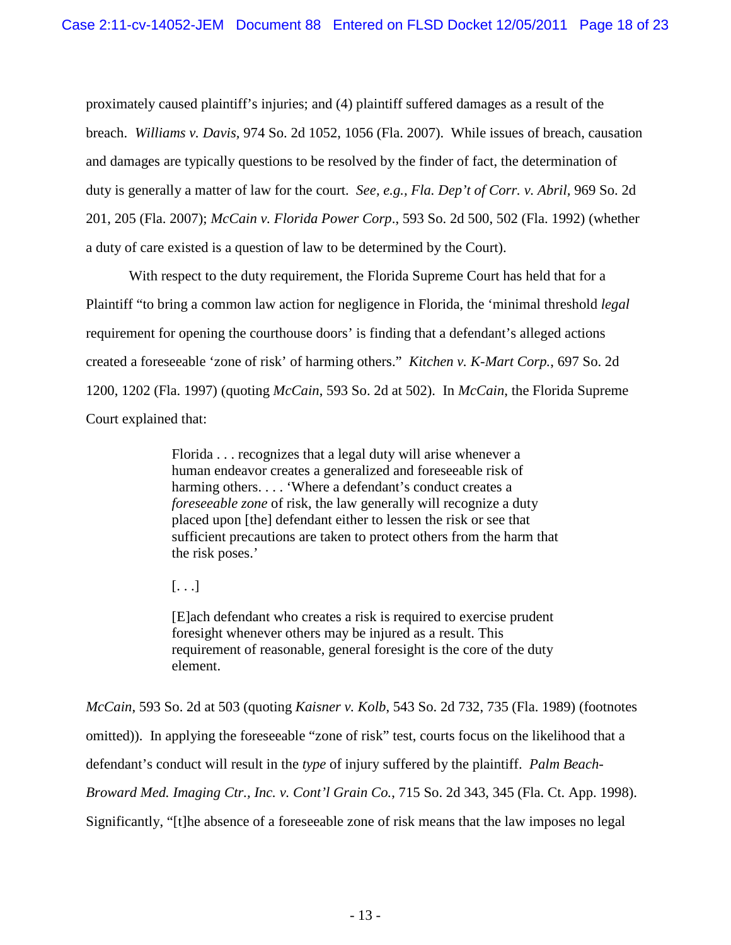proximately caused plaintiff's injuries; and (4) plaintiff suffered damages as a result of the breach. *Williams v. Davis,* 974 So. 2d 1052, 1056 (Fla. 2007). While issues of breach, causation and damages are typically questions to be resolved by the finder of fact, the determination of duty is generally a matter of law for the court. *See, e.g., Fla. Dep't of Corr. v. Abril,* 969 So. 2d 201, 205 (Fla. 2007); *McCain v. Florida Power Corp*., 593 So. 2d 500, 502 (Fla. 1992) (whether a duty of care existed is a question of law to be determined by the Court).

With respect to the duty requirement, the Florida Supreme Court has held that for a Plaintiff "to bring a common law action for negligence in Florida, the 'minimal threshold *legal* requirement for opening the courthouse doors' is finding that a defendant's alleged actions created a foreseeable 'zone of risk' of harming others." *Kitchen v. K-Mart Corp.*, 697 So. 2d 1200, 1202 (Fla. 1997) (quoting *McCain*, 593 So. 2d at 502). In *McCain*, the Florida Supreme Court explained that:

> Florida . . . recognizes that a legal duty will arise whenever a human endeavor creates a generalized and foreseeable risk of harming others. . . . 'Where a defendant's conduct creates a *foreseeable zone* of risk, the law generally will recognize a duty placed upon [the] defendant either to lessen the risk or see that sufficient precautions are taken to protect others from the harm that the risk poses.'

 $[\ldots]$ 

[E]ach defendant who creates a risk is required to exercise prudent foresight whenever others may be injured as a result. This requirement of reasonable, general foresight is the core of the duty element.

*McCain*, 593 So. 2d at 503 (quoting *Kaisner v. Kolb*, 543 So. 2d 732, 735 (Fla. 1989) (footnotes omitted)). In applying the foreseeable "zone of risk" test, courts focus on the likelihood that a defendant's conduct will result in the *type* of injury suffered by the plaintiff. *Palm Beach-Broward Med. Imaging Ctr., Inc. v. Cont'l Grain Co.*, 715 So. 2d 343, 345 (Fla. Ct. App. 1998). Significantly, "[t]he absence of a foreseeable zone of risk means that the law imposes no legal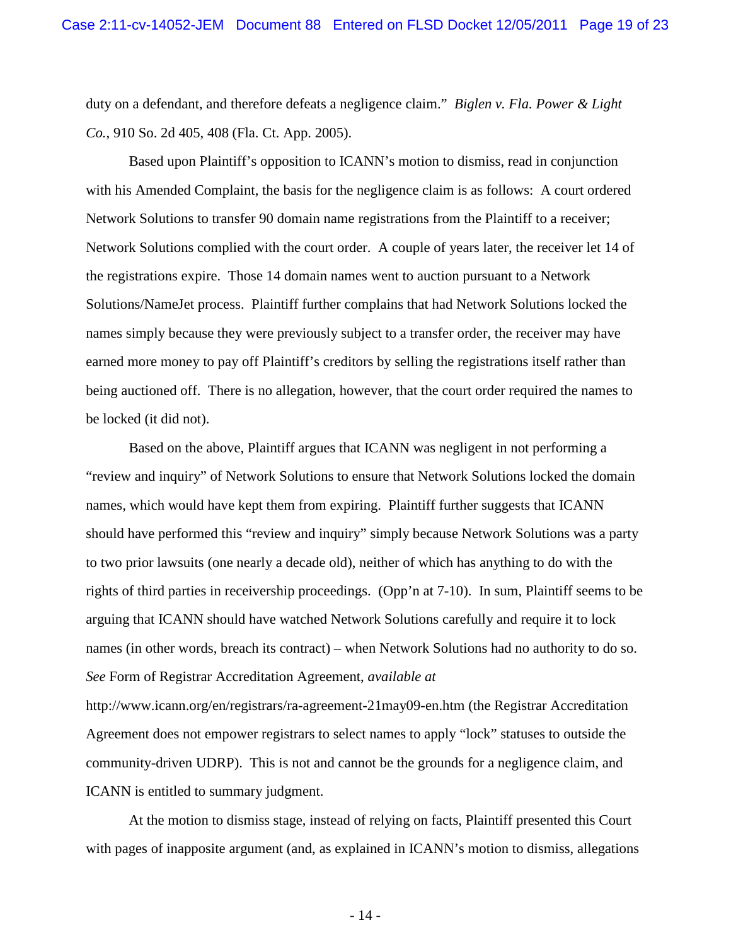duty on a defendant, and therefore defeats a negligence claim." *Biglen v. Fla. Power & Light Co.*, 910 So. 2d 405, 408 (Fla. Ct. App. 2005).

Based upon Plaintiff's opposition to ICANN's motion to dismiss, read in conjunction with his Amended Complaint, the basis for the negligence claim is as follows: A court ordered Network Solutions to transfer 90 domain name registrations from the Plaintiff to a receiver; Network Solutions complied with the court order. A couple of years later, the receiver let 14 of the registrations expire. Those 14 domain names went to auction pursuant to a Network Solutions/NameJet process. Plaintiff further complains that had Network Solutions locked the names simply because they were previously subject to a transfer order, the receiver may have earned more money to pay off Plaintiff's creditors by selling the registrations itself rather than being auctioned off. There is no allegation, however, that the court order required the names to be locked (it did not).

Based on the above, Plaintiff argues that ICANN was negligent in not performing a "review and inquiry" of Network Solutions to ensure that Network Solutions locked the domain names, which would have kept them from expiring. Plaintiff further suggests that ICANN should have performed this "review and inquiry" simply because Network Solutions was a party to two prior lawsuits (one nearly a decade old), neither of which has anything to do with the rights of third parties in receivership proceedings. (Opp'n at 7-10). In sum, Plaintiff seems to be arguing that ICANN should have watched Network Solutions carefully and require it to lock names (in other words, breach its contract) – when Network Solutions had no authority to do so. *See* Form of Registrar Accreditation Agreement, *available at*

http://www.icann.org/en/registrars/ra-agreement-21may09-en.htm (the Registrar Accreditation Agreement does not empower registrars to select names to apply "lock" statuses to outside the community-driven UDRP). This is not and cannot be the grounds for a negligence claim, and ICANN is entitled to summary judgment.

At the motion to dismiss stage, instead of relying on facts, Plaintiff presented this Court with pages of inapposite argument (and, as explained in ICANN's motion to dismiss, allegations

- 14 -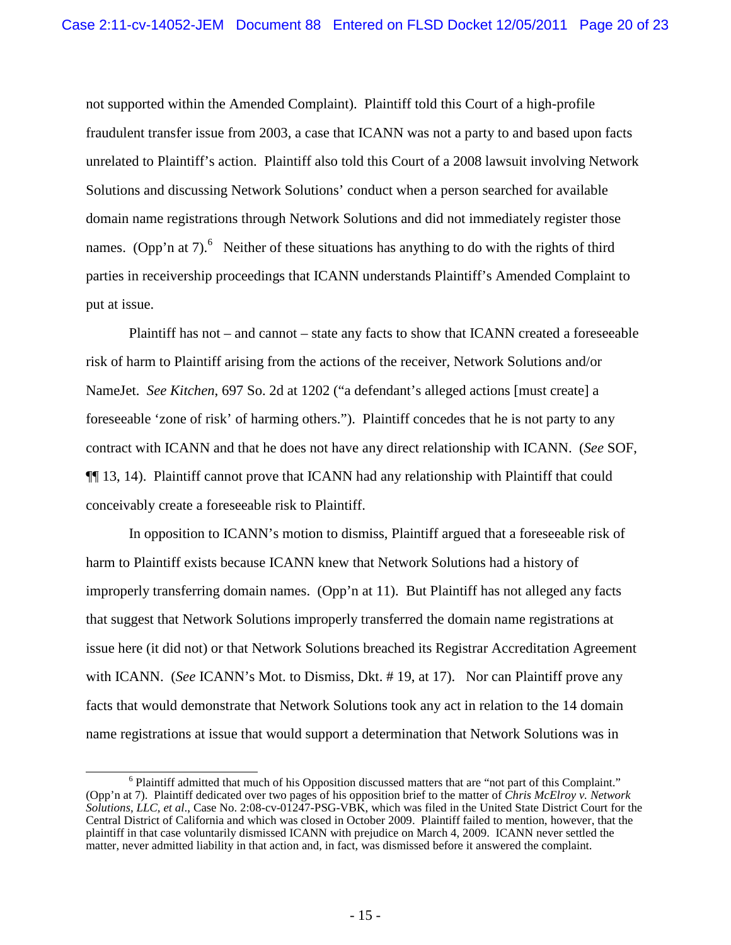not supported within the Amended Complaint). Plaintiff told this Court of a high-profile fraudulent transfer issue from 2003, a case that ICANN was not a party to and based upon facts unrelated to Plaintiff's action. Plaintiff also told this Court of a 2008 lawsuit involving Network Solutions and discussing Network Solutions' conduct when a person searched for available domain name registrations through Network Solutions and did not immediately register those names. (Opp'n at 7).<sup>6</sup> Neither of these situations has anything to do with the rights of third parties in receivership proceedings that ICANN understands Plaintiff's Amended Complaint to put at issue.

Plaintiff has not – and cannot – state any facts to show that ICANN created a foreseeable risk of harm to Plaintiff arising from the actions of the receiver, Network Solutions and/or NameJet. *See Kitchen*, 697 So. 2d at 1202 ("a defendant's alleged actions [must create] a foreseeable 'zone of risk' of harming others."). Plaintiff concedes that he is not party to any contract with ICANN and that he does not have any direct relationship with ICANN. (*See* SOF, ¶¶ 13, 14). Plaintiff cannot prove that ICANN had any relationship with Plaintiff that could conceivably create a foreseeable risk to Plaintiff.

In opposition to ICANN's motion to dismiss, Plaintiff argued that a foreseeable risk of harm to Plaintiff exists because ICANN knew that Network Solutions had a history of improperly transferring domain names. (Opp'n at 11). But Plaintiff has not alleged any facts that suggest that Network Solutions improperly transferred the domain name registrations at issue here (it did not) or that Network Solutions breached its Registrar Accreditation Agreement with ICANN. (*See* ICANN's Mot. to Dismiss, Dkt. # 19, at 17). Nor can Plaintiff prove any facts that would demonstrate that Network Solutions took any act in relation to the 14 domain name registrations at issue that would support a determination that Network Solutions was in

<sup>&</sup>lt;sup>6</sup> Plaintiff admitted that much of his Opposition discussed matters that are "not part of this Complaint." (Opp'n at 7). Plaintiff dedicated over two pages of his opposition brief to the matter of *Chris McElroy v. Network Solutions, LLC, et al*., Case No. 2:08-cv-01247-PSG-VBK, which was filed in the United State District Court for the Central District of California and which was closed in October 2009. Plaintiff failed to mention, however, that the plaintiff in that case voluntarily dismissed ICANN with prejudice on March 4, 2009. ICANN never settled the matter, never admitted liability in that action and, in fact, was dismissed before it answered the complaint.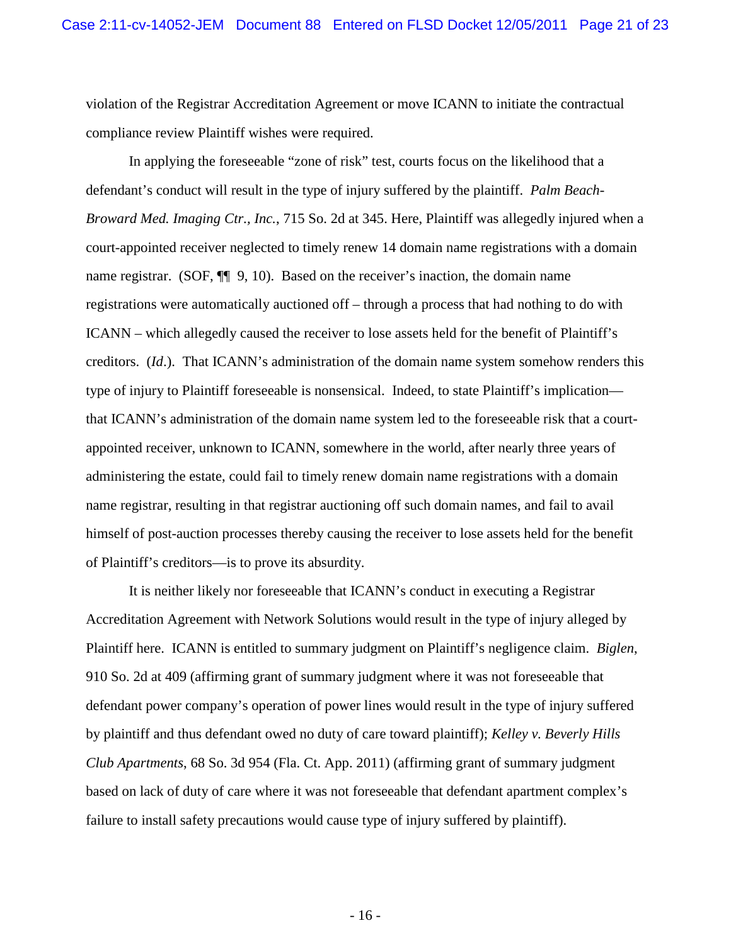violation of the Registrar Accreditation Agreement or move ICANN to initiate the contractual compliance review Plaintiff wishes were required.

In applying the foreseeable "zone of risk" test, courts focus on the likelihood that a defendant's conduct will result in the type of injury suffered by the plaintiff. *Palm Beach-Broward Med. Imaging Ctr., Inc.*, 715 So. 2d at 345. Here, Plaintiff was allegedly injured when a court-appointed receiver neglected to timely renew 14 domain name registrations with a domain name registrar. (SOF,  $\P$  9, 10). Based on the receiver's inaction, the domain name registrations were automatically auctioned off – through a process that had nothing to do with ICANN – which allegedly caused the receiver to lose assets held for the benefit of Plaintiff's creditors. (*Id*.). That ICANN's administration of the domain name system somehow renders this type of injury to Plaintiff foreseeable is nonsensical. Indeed, to state Plaintiff's implication that ICANN's administration of the domain name system led to the foreseeable risk that a courtappointed receiver, unknown to ICANN, somewhere in the world, after nearly three years of administering the estate, could fail to timely renew domain name registrations with a domain name registrar, resulting in that registrar auctioning off such domain names, and fail to avail himself of post-auction processes thereby causing the receiver to lose assets held for the benefit of Plaintiff's creditors—is to prove its absurdity.

It is neither likely nor foreseeable that ICANN's conduct in executing a Registrar Accreditation Agreement with Network Solutions would result in the type of injury alleged by Plaintiff here. ICANN is entitled to summary judgment on Plaintiff's negligence claim. *Biglen*, 910 So. 2d at 409 (affirming grant of summary judgment where it was not foreseeable that defendant power company's operation of power lines would result in the type of injury suffered by plaintiff and thus defendant owed no duty of care toward plaintiff); *Kelley v. Beverly Hills Club Apartments*, 68 So. 3d 954 (Fla. Ct. App. 2011) (affirming grant of summary judgment based on lack of duty of care where it was not foreseeable that defendant apartment complex's failure to install safety precautions would cause type of injury suffered by plaintiff).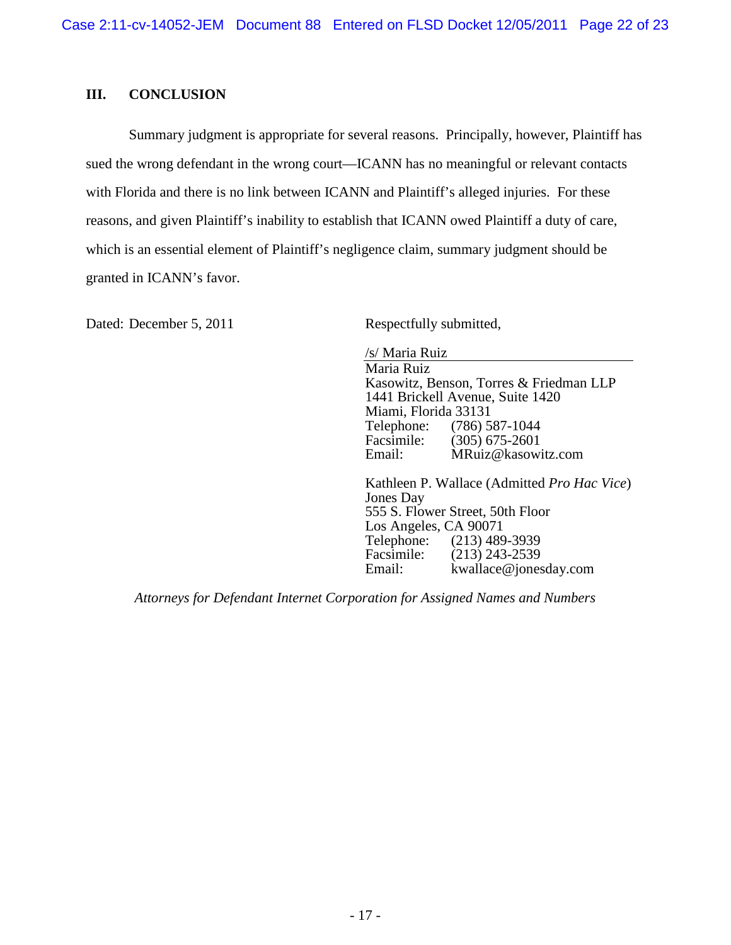### **III. CONCLUSION**

Summary judgment is appropriate for several reasons. Principally, however, Plaintiff has sued the wrong defendant in the wrong court—ICANN has no meaningful or relevant contacts with Florida and there is no link between ICANN and Plaintiff's alleged injuries. For these reasons, and given Plaintiff's inability to establish that ICANN owed Plaintiff a duty of care, which is an essential element of Plaintiff's negligence claim, summary judgment should be granted in ICANN's favor.

Dated: December 5, 2011 Respectfully submitted,

/s/ Maria Ruiz Maria Ruiz Kasowitz, Benson, Torres & Friedman LLP 1441 Brickell Avenue, Suite 1420 Miami, Florida 33131<br>Telephone: (786) 5 Telephone: (786) 587-1044<br>Facsimile: (305) 675-2601 Facsimile:  $(305)$  675-2601<br>Email: MRuiz@kasow MRuiz@kasowitz.com

Kathleen P. Wallace (Admitted *Pro Hac Vice*) Jones Day 555 S. Flower Street, 50th Floor Los Angeles, CA 90071<br>Telephone: (213) 489 Telephone: (213) 489-3939<br>Facsimile: (213) 243-2539 Facsimile: (213) 243-2539<br>Email: kwallace@iones kwallace@jonesday.com

*Attorneys for Defendant Internet Corporation for Assigned Names and Numbers*